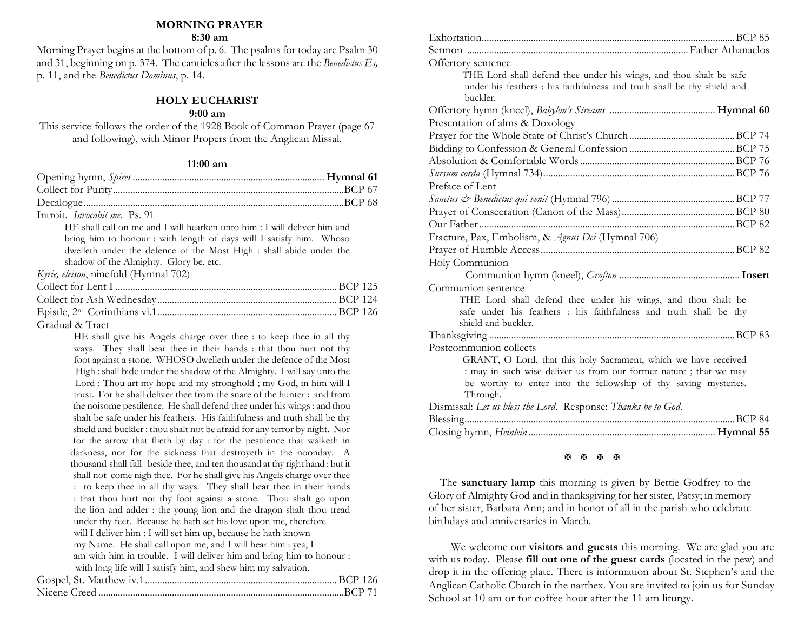#### **MORNING PRAYER**

#### **8:30 am**

Morning Prayer begins at the bottom of p. 6. The psalms for today are Psalm 30 and 31, beginning on p. 374. The canticles after the lessons are the *Benedictus Es,* p. 11, and the *Benedictus Dominus*, p. 14.

#### **HOLY EUCHARIST**

#### **9:00 am**

This service follows the order of the 1928 Book of Common Prayer (page 67 and following), with Minor Propers from the Anglican Missal.

#### **11:00 am**

| Introit. <i>Invocabit me.</i> Ps. 91                                     |
|--------------------------------------------------------------------------|
| HE shall call on me and I will hearken unto him : I will deliver him and |
| bring him to honour: with length of days will I satisfy him. Whoso       |
| dwelleth under the defence of the Most High : shall abide under the      |
| shadow of the Almighty. Glory be, etc.                                   |
| Kyrie, eleison, ninefold (Hymnal 702)                                    |
|                                                                          |
|                                                                          |
|                                                                          |
| Gradual & Tract                                                          |

HE shall give his Angels charge over thee : to keep thee in all thy ways. They shall bear thee in their hands : that thou hurt not thy foot against a stone. WHOSO dwelleth under the defence of the Most High : shall bide under the shadow of the Almighty. I will say unto the Lord : Thou art my hope and my stronghold ; my God, in him will I trust. For he shall deliver thee from the snare of the hunter : and from the noisome pestilence. He shall defend thee under his wings : and thou shalt be safe under his feathers. His faithfulness and truth shall be thy shield and buckler : thou shalt not be afraid for any terror by night. Nor for the arrow that flieth by day : for the pestilence that walketh in darkness, nor for the sickness that destroyeth in the noonday. A thousand shall fall beside thee, and ten thousand at thy right hand : but it shall not come nigh thee. For he shall give his Angels charge over thee : to keep thee in all thy ways. They shall bear thee in their hands : that thou hurt not thy foot against a stone. Thou shalt go upon the lion and adder : the young lion and the dragon shalt thou tread under thy feet. Because he hath set his love upon me, therefore will I deliver him : I will set him up, because he hath known my Name. He shall call upon me, and I will hear him : yea, I am with him in trouble. I will deliver him and bring him to honour : with long life will I satisfy him, and shew him my salvation. Gospel, St. Matthew iv.1.............................................................................. BCP 126 Nicene Creed ....................................................................................................BCP 71

| Offertory sentence                                                                                                                    |  |
|---------------------------------------------------------------------------------------------------------------------------------------|--|
| THE Lord shall defend thee under his wings, and thou shalt be safe                                                                    |  |
| under his feathers : his faithfulness and truth shall be thy shield and                                                               |  |
| buckler.                                                                                                                              |  |
|                                                                                                                                       |  |
| Presentation of alms & Doxology                                                                                                       |  |
|                                                                                                                                       |  |
|                                                                                                                                       |  |
|                                                                                                                                       |  |
|                                                                                                                                       |  |
| Preface of Lent                                                                                                                       |  |
|                                                                                                                                       |  |
|                                                                                                                                       |  |
|                                                                                                                                       |  |
| Fracture, Pax, Embolism, & Agnus Dei (Hymnal 706)                                                                                     |  |
|                                                                                                                                       |  |
| Holy Communion                                                                                                                        |  |
|                                                                                                                                       |  |
| Communion sentence                                                                                                                    |  |
| THE Lord shall defend thee under his wings, and thou shalt be                                                                         |  |
| safe under his feathers : his faithfulness and truth shall be thy                                                                     |  |
| shield and buckler.                                                                                                                   |  |
|                                                                                                                                       |  |
| Postcommunion collects                                                                                                                |  |
| GRANT, O Lord, that this holy Sacrament, which we have received                                                                       |  |
| : may in such wise deliver us from our former nature ; that we may<br>be worthy to enter into the fellowship of thy saving mysteries. |  |
| Through.                                                                                                                              |  |
| Dismissal: Let us bless the Lord. Response: Thanks be to God.                                                                         |  |
|                                                                                                                                       |  |
|                                                                                                                                       |  |
|                                                                                                                                       |  |

#### **A A A A**

 The **sanctuary lamp** this morning is given by Bettie Godfrey to the Glory of Almighty God and in thanksgiving for her sister, Patsy; in memory of her sister, Barbara Ann; and in honor of all in the parish who celebrate birthdays and anniversaries in March.

 We welcome our **visitors and guests** this morning. We are glad you are with us today. Please **fill out one of the guest cards** (located in the pew) and drop it in the offering plate. There is information about St. Stephen's and the Anglican Catholic Church in the narthex. You are invited to join us for Sunday School at 10 am or for coffee hour after the 11 am liturgy.